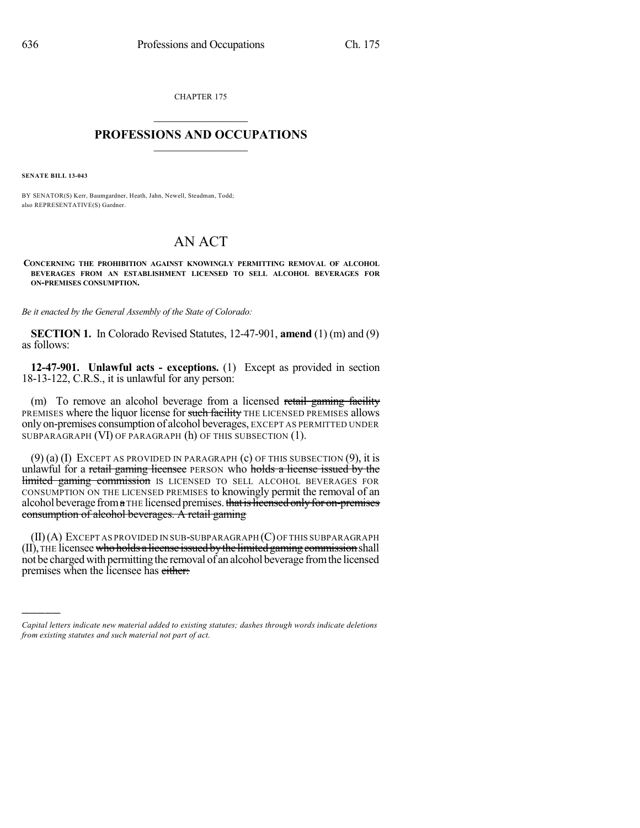CHAPTER 175  $\mathcal{L}_\text{max}$  . The set of the set of the set of the set of the set of the set of the set of the set of the set of the set of the set of the set of the set of the set of the set of the set of the set of the set of the set

## **PROFESSIONS AND OCCUPATIONS**  $\frac{1}{2}$  ,  $\frac{1}{2}$  ,  $\frac{1}{2}$  ,  $\frac{1}{2}$  ,  $\frac{1}{2}$  ,  $\frac{1}{2}$

**SENATE BILL 13-043**

)))))

BY SENATOR(S) Kerr, Baumgardner, Heath, Jahn, Newell, Steadman, Todd; also REPRESENTATIVE(S) Gardner.

## AN ACT

**CONCERNING THE PROHIBITION AGAINST KNOWINGLY PERMITTING REMOVAL OF ALCOHOL BEVERAGES FROM AN ESTABLISHMENT LICENSED TO SELL ALCOHOL BEVERAGES FOR ON-PREMISES CONSUMPTION.**

*Be it enacted by the General Assembly of the State of Colorado:*

**SECTION 1.** In Colorado Revised Statutes, 12-47-901, **amend** (1) (m) and (9) as follows:

**12-47-901. Unlawful acts - exceptions.** (1) Except as provided in section 18-13-122, C.R.S., it is unlawful for any person:

(m) To remove an alcohol beverage from a licensed retail gaming facility PREMISES where the liquor license for such facility THE LICENSED PREMISES allows only on-premises consumption of alcohol beverages, EXCEPT AS PERMITTED UNDER SUBPARAGRAPH (VI) OF PARAGRAPH (h) OF THIS SUBSECTION (1).

 $(9)$  (a) (I) EXCEPT AS PROVIDED IN PARAGRAPH (c) OF THIS SUBSECTION  $(9)$ , it is unlawful for a retail gaming licensee PERSON who holds a license issued by the limited gaming commission IS LICENSED TO SELL ALCOHOL BEVERAGES FOR CONSUMPTION ON THE LICENSED PREMISES to knowingly permit the removal of an alcohol beverage from a THE licensed premises. that is licensed only for on-premises consumption of alcohol beverages. A retail gaming

(II)(A) EXCEPT AS PROVIDED IN SUB-SUBPARAGRAPH (C)OF THIS SUBPARAGRAPH  $(II)$ , THE licensee who holds a license issued by the limited gaming commission shall not be charged with permitting the removal of an alcohol beverage from the licensed premises when the licensee has either:

*Capital letters indicate new material added to existing statutes; dashes through words indicate deletions from existing statutes and such material not part of act.*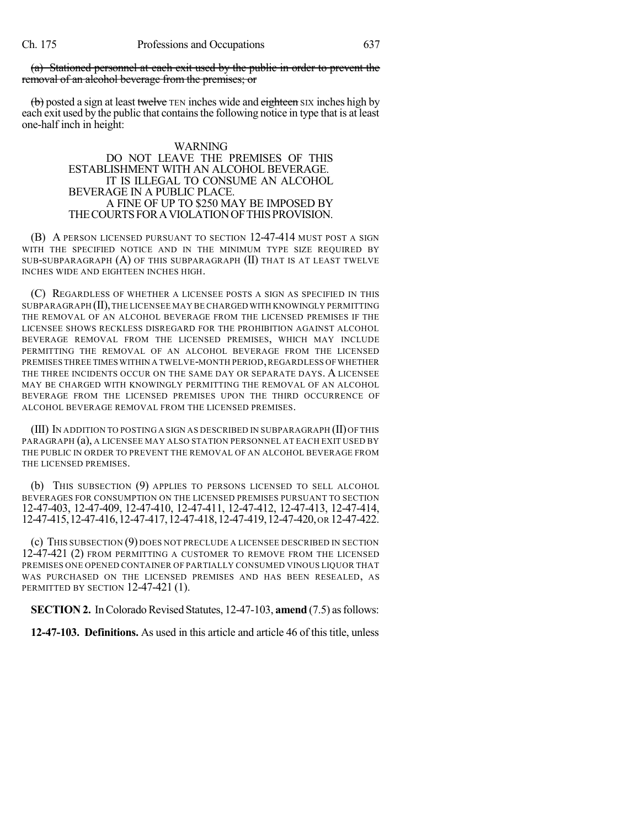(a) Stationed personnel at each exit used by the public in order to prevent the removal of an alcohol beverage from the premises; or

(b) posted a sign at least twelve TEN inches wide and eighteen SIX inches high by each exit used by the public that contains the following notice in type that is at least one-half inch in height:

## WARNING

## DO NOT LEAVE THE PREMISES OF THIS ESTABLISHMENT WITH AN ALCOHOL BEVERAGE. IT IS ILLEGAL TO CONSUME AN ALCOHOL BEVERAGE IN A PUBLIC PLACE. A FINE OF UP TO \$250 MAY BE IMPOSED BY THECOURTSFORAVIOLATIONOFTHISPROVISION.

(B) A PERSON LICENSED PURSUANT TO SECTION 12-47-414 MUST POST A SIGN WITH THE SPECIFIED NOTICE AND IN THE MINIMUM TYPE SIZE REQUIRED BY SUB-SUBPARAGRAPH (A) OF THIS SUBPARAGRAPH (II) THAT IS AT LEAST TWELVE INCHES WIDE AND EIGHTEEN INCHES HIGH.

(C) REGARDLESS OF WHETHER A LICENSEE POSTS A SIGN AS SPECIFIED IN THIS SUBPARAGRAPH (II),THE LICENSEE MAY BE CHARGED WITH KNOWINGLY PERMITTING THE REMOVAL OF AN ALCOHOL BEVERAGE FROM THE LICENSED PREMISES IF THE LICENSEE SHOWS RECKLESS DISREGARD FOR THE PROHIBITION AGAINST ALCOHOL BEVERAGE REMOVAL FROM THE LICENSED PREMISES, WHICH MAY INCLUDE PERMITTING THE REMOVAL OF AN ALCOHOL BEVERAGE FROM THE LICENSED PREMISES THREE TIMES WITHIN A TWELVE-MONTH PERIOD,REGARDLESS OFWHETHER THE THREE INCIDENTS OCCUR ON THE SAME DAY OR SEPARATE DAYS. A LICENSEE MAY BE CHARGED WITH KNOWINGLY PERMITTING THE REMOVAL OF AN ALCOHOL BEVERAGE FROM THE LICENSED PREMISES UPON THE THIRD OCCURRENCE OF ALCOHOL BEVERAGE REMOVAL FROM THE LICENSED PREMISES.

(III) IN ADDITION TO POSTING A SIGN AS DESCRIBED IN SUBPARAGRAPH (II) OF THIS PARAGRAPH (a), A LICENSEE MAY ALSO STATION PERSONNEL AT EACH EXIT USED BY THE PUBLIC IN ORDER TO PREVENT THE REMOVAL OF AN ALCOHOL BEVERAGE FROM THE LICENSED PREMISES.

(b) THIS SUBSECTION (9) APPLIES TO PERSONS LICENSED TO SELL ALCOHOL BEVERAGES FOR CONSUMPTION ON THE LICENSED PREMISES PURSUANT TO SECTION 12-47-403, 12-47-409, 12-47-410, 12-47-411, 12-47-412, 12-47-413, 12-47-414, 12-47-415,12-47-416,12-47-417,12-47-418,12-47-419,12-47-420,OR 12-47-422.

(c) THIS SUBSECTION (9) DOES NOT PRECLUDE A LICENSEE DESCRIBED IN SECTION 12-47-421 (2) FROM PERMITTING A CUSTOMER TO REMOVE FROM THE LICENSED PREMISES ONE OPENED CONTAINER OF PARTIALLY CONSUMED VINOUS LIQUOR THAT WAS PURCHASED ON THE LICENSED PREMISES AND HAS BEEN RESEALED, AS PERMITTED BY SECTION 12-47-421 (1).

**SECTION 2.** In Colorado Revised Statutes, 12-47-103, **amend** (7.5) as follows:

**12-47-103. Definitions.** As used in this article and article 46 of this title, unless